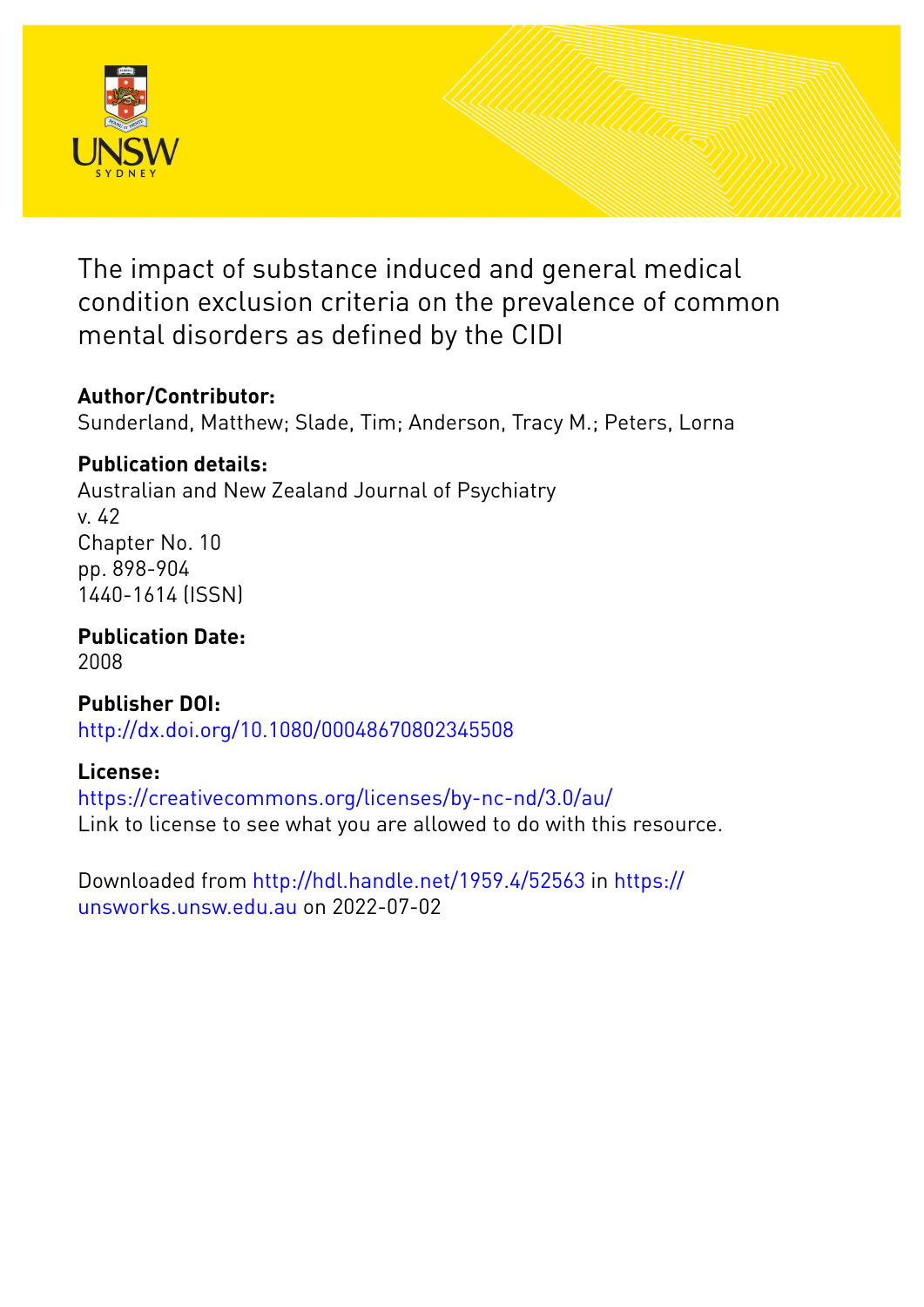

The impact of substance induced and general medical condition exclusion criteria on the prevalence of common mental disorders as defined by the CIDI

# **Author/Contributor:**

Sunderland, Matthew; Slade, Tim; Anderson, Tracy M.; Peters, Lorna

# **Publication details:**

Australian and New Zealand Journal of Psychiatry v. 42 Chapter No. 10 pp. 898-904 1440-1614 (ISSN)

**Publication Date:** 2008

**Publisher DOI:** [http://dx.doi.org/10.1080/00048670802345508](http://dx.doi.org/http://dx.doi.org/10.1080/00048670802345508)

# **License:**

<https://creativecommons.org/licenses/by-nc-nd/3.0/au/> Link to license to see what you are allowed to do with this resource.

Downloaded from <http://hdl.handle.net/1959.4/52563> in [https://](https://unsworks.unsw.edu.au) [unsworks.unsw.edu.au](https://unsworks.unsw.edu.au) on 2022-07-02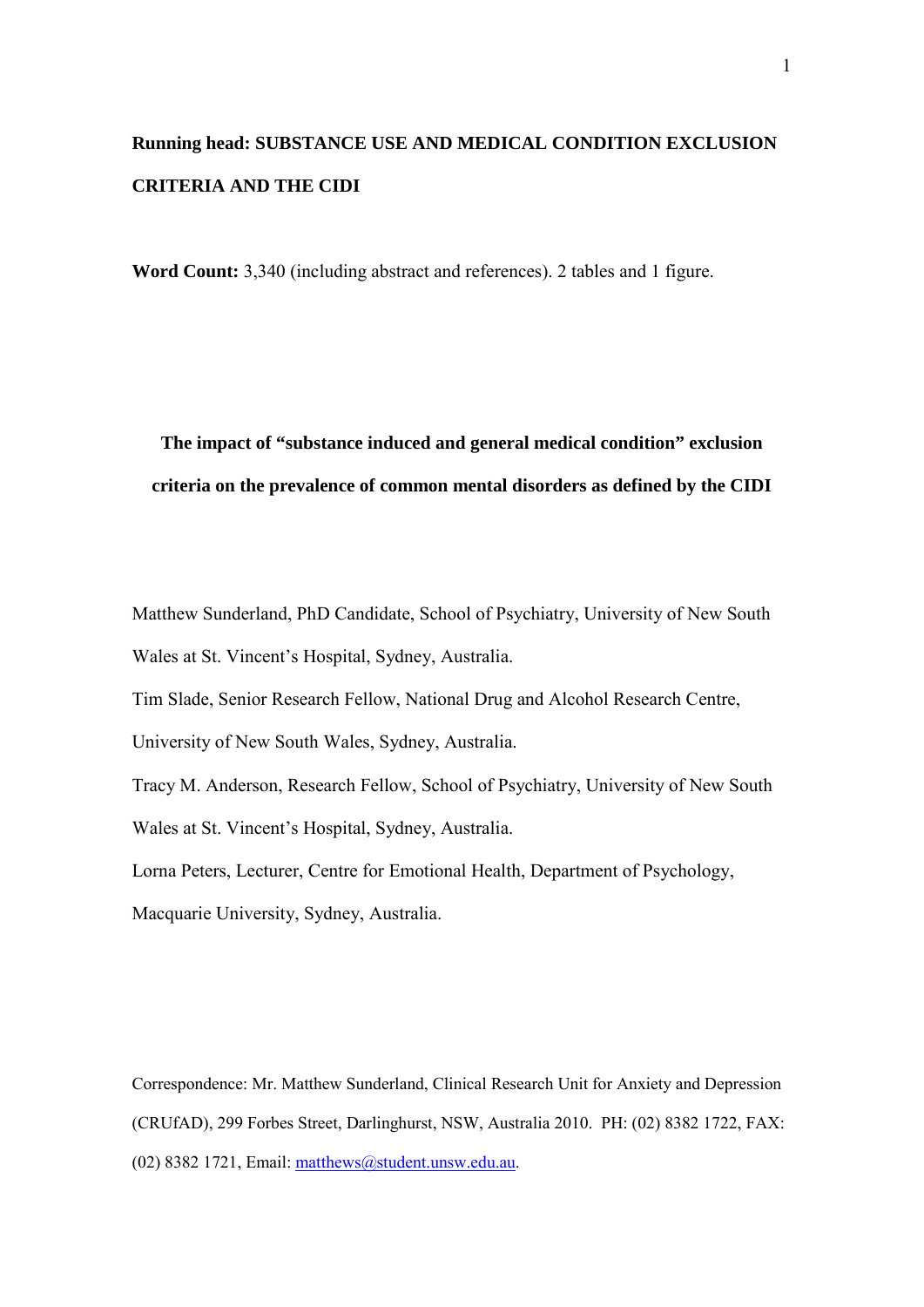# **Running head: SUBSTANCE USE AND MEDICAL CONDITION EXCLUSION CRITERIA AND THE CIDI**

**Word Count:** 3,340 (including abstract and references). 2 tables and 1 figure.

**The impact of "substance induced and general medical condition" exclusion criteria on the prevalence of common mental disorders as defined by the CIDI**

Matthew Sunderland, PhD Candidate, School of Psychiatry, University of New South Wales at St. Vincent's Hospital, Sydney, Australia.

Tim Slade, Senior Research Fellow, National Drug and Alcohol Research Centre,

University of New South Wales, Sydney, Australia.

Tracy M. Anderson, Research Fellow, School of Psychiatry, University of New South Wales at St. Vincent's Hospital, Sydney, Australia.

Lorna Peters, Lecturer, Centre for Emotional Health, Department of Psychology,

Macquarie University, Sydney, Australia.

Correspondence: Mr. Matthew Sunderland, Clinical Research Unit for Anxiety and Depression (CRUfAD), 299 Forbes Street, Darlinghurst, NSW, Australia 2010. PH: (02) 8382 1722, FAX: (02) 8382 1721, Email: [matthews@student.unsw.edu.au.](mailto:matthews@student.unsw.edu.au)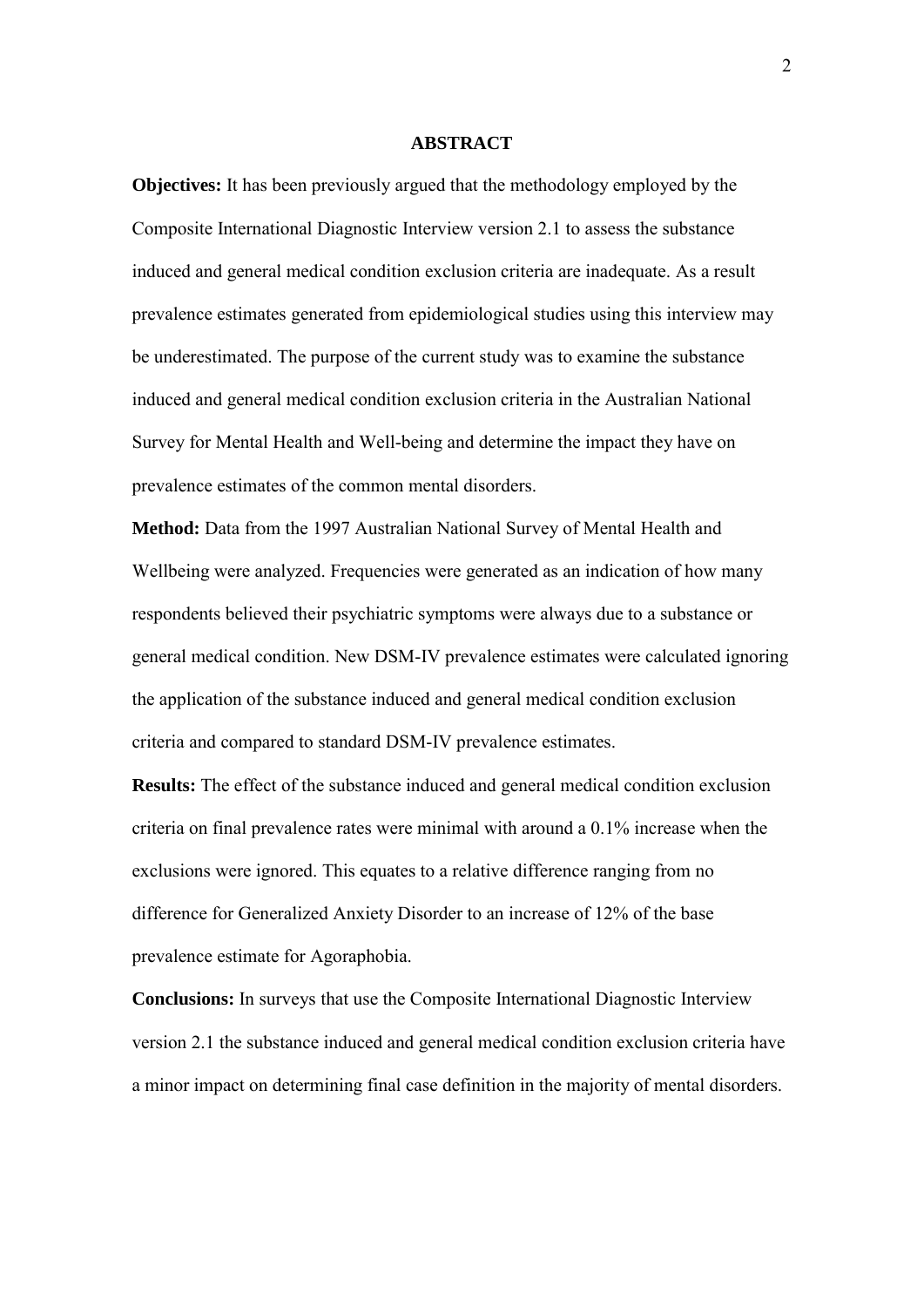#### **ABSTRACT**

**Objectives:** It has been previously argued that the methodology employed by the Composite International Diagnostic Interview version 2.1 to assess the substance induced and general medical condition exclusion criteria are inadequate. As a result prevalence estimates generated from epidemiological studies using this interview may be underestimated. The purpose of the current study was to examine the substance induced and general medical condition exclusion criteria in the Australian National Survey for Mental Health and Well-being and determine the impact they have on prevalence estimates of the common mental disorders.

**Method:** Data from the 1997 Australian National Survey of Mental Health and Wellbeing were analyzed. Frequencies were generated as an indication of how many respondents believed their psychiatric symptoms were always due to a substance or general medical condition. New DSM-IV prevalence estimates were calculated ignoring the application of the substance induced and general medical condition exclusion criteria and compared to standard DSM-IV prevalence estimates.

**Results:** The effect of the substance induced and general medical condition exclusion criteria on final prevalence rates were minimal with around a 0.1% increase when the exclusions were ignored. This equates to a relative difference ranging from no difference for Generalized Anxiety Disorder to an increase of 12% of the base prevalence estimate for Agoraphobia.

**Conclusions:** In surveys that use the Composite International Diagnostic Interview version 2.1 the substance induced and general medical condition exclusion criteria have a minor impact on determining final case definition in the majority of mental disorders.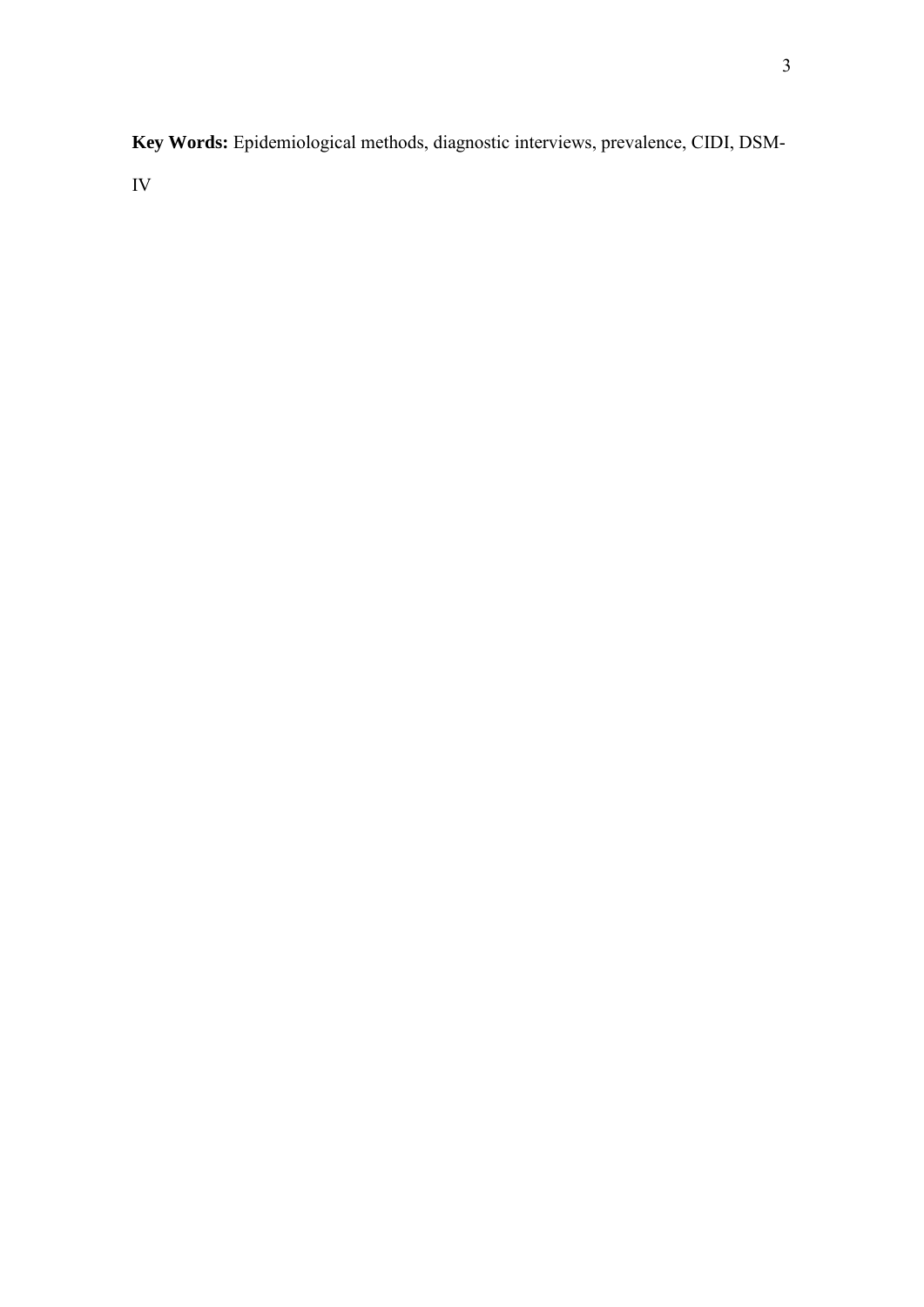**Key Words:** Epidemiological methods, diagnostic interviews, prevalence, CIDI, DSM-IV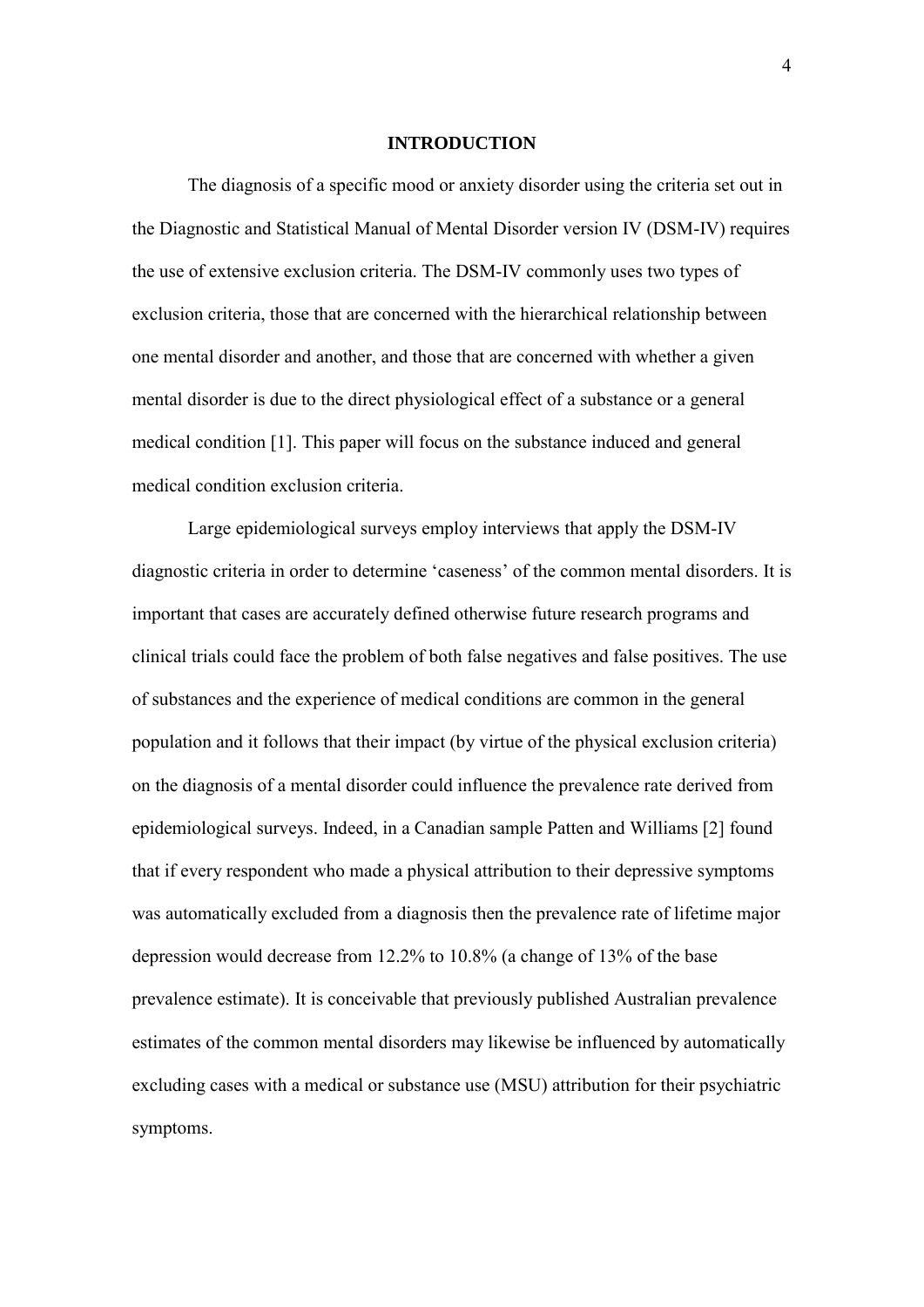#### **INTRODUCTION**

The diagnosis of a specific mood or anxiety disorder using the criteria set out in the Diagnostic and Statistical Manual of Mental Disorder version IV (DSM-IV) requires the use of extensive exclusion criteria. The DSM-IV commonly uses two types of exclusion criteria, those that are concerned with the hierarchical relationship between one mental disorder and another, and those that are concerned with whether a given mental disorder is due to the direct physiological effect of a substance or a general medical condition [1]. This paper will focus on the substance induced and general medical condition exclusion criteria.

Large epidemiological surveys employ interviews that apply the DSM-IV diagnostic criteria in order to determine 'caseness' of the common mental disorders. It is important that cases are accurately defined otherwise future research programs and clinical trials could face the problem of both false negatives and false positives. The use of substances and the experience of medical conditions are common in the general population and it follows that their impact (by virtue of the physical exclusion criteria) on the diagnosis of a mental disorder could influence the prevalence rate derived from epidemiological surveys. Indeed, in a Canadian sample Patten and Williams [2] found that if every respondent who made a physical attribution to their depressive symptoms was automatically excluded from a diagnosis then the prevalence rate of lifetime major depression would decrease from 12.2% to 10.8% (a change of 13% of the base prevalence estimate). It is conceivable that previously published Australian prevalence estimates of the common mental disorders may likewise be influenced by automatically excluding cases with a medical or substance use (MSU) attribution for their psychiatric symptoms.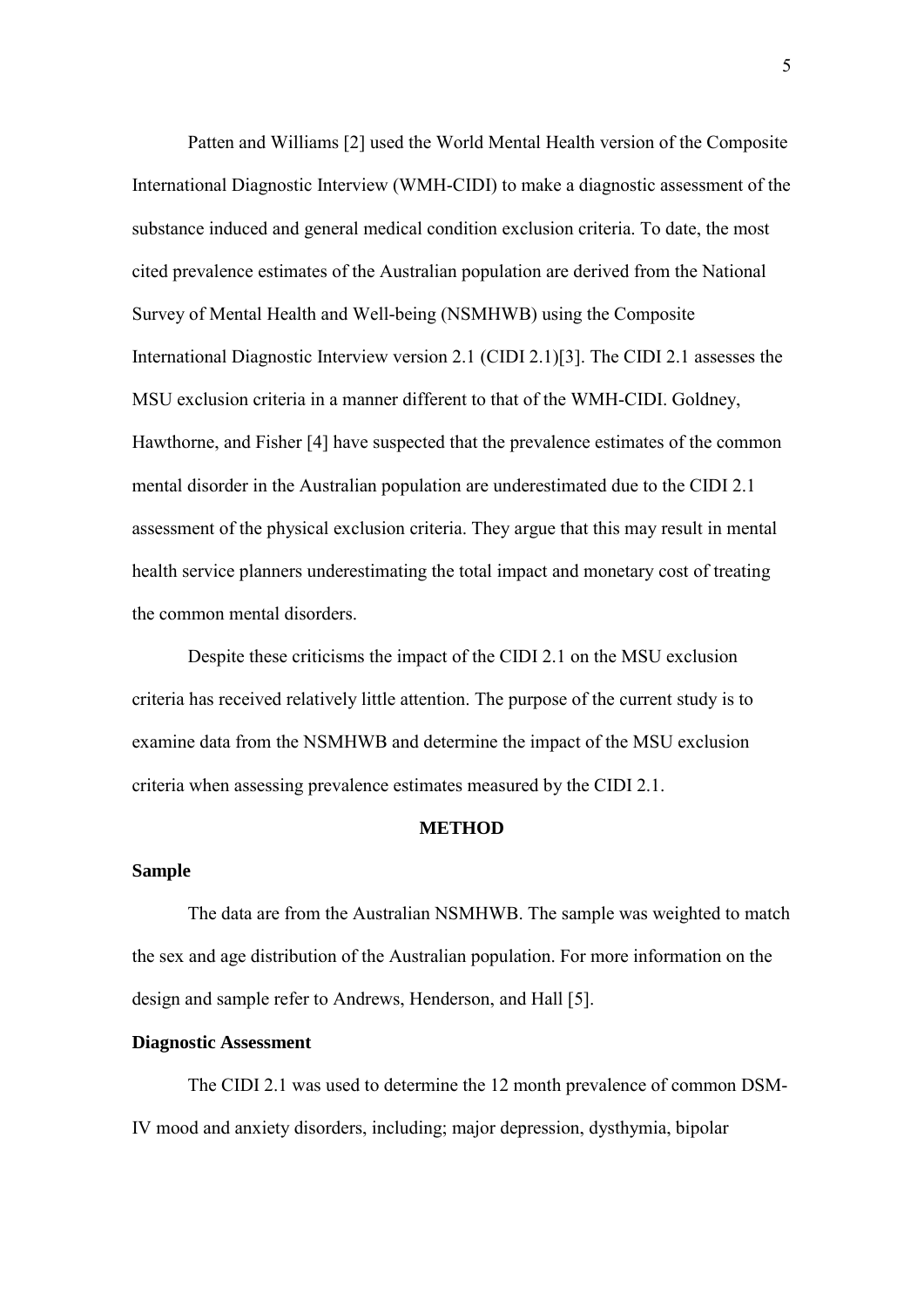Patten and Williams [2] used the World Mental Health version of the Composite International Diagnostic Interview (WMH-CIDI) to make a diagnostic assessment of the substance induced and general medical condition exclusion criteria. To date, the most cited prevalence estimates of the Australian population are derived from the National Survey of Mental Health and Well-being (NSMHWB) using the Composite International Diagnostic Interview version 2.1 (CIDI 2.1)[3]. The CIDI 2.1 assesses the MSU exclusion criteria in a manner different to that of the WMH-CIDI. Goldney, Hawthorne, and Fisher [4] have suspected that the prevalence estimates of the common mental disorder in the Australian population are underestimated due to the CIDI 2.1 assessment of the physical exclusion criteria. They argue that this may result in mental health service planners underestimating the total impact and monetary cost of treating the common mental disorders.

Despite these criticisms the impact of the CIDI 2.1 on the MSU exclusion criteria has received relatively little attention. The purpose of the current study is to examine data from the NSMHWB and determine the impact of the MSU exclusion criteria when assessing prevalence estimates measured by the CIDI 2.1.

#### **METHOD**

### **Sample**

The data are from the Australian NSMHWB. The sample was weighted to match the sex and age distribution of the Australian population. For more information on the design and sample refer to Andrews, Henderson, and Hall [5].

### **Diagnostic Assessment**

The CIDI 2.1 was used to determine the 12 month prevalence of common DSM-IV mood and anxiety disorders, including; major depression, dysthymia, bipolar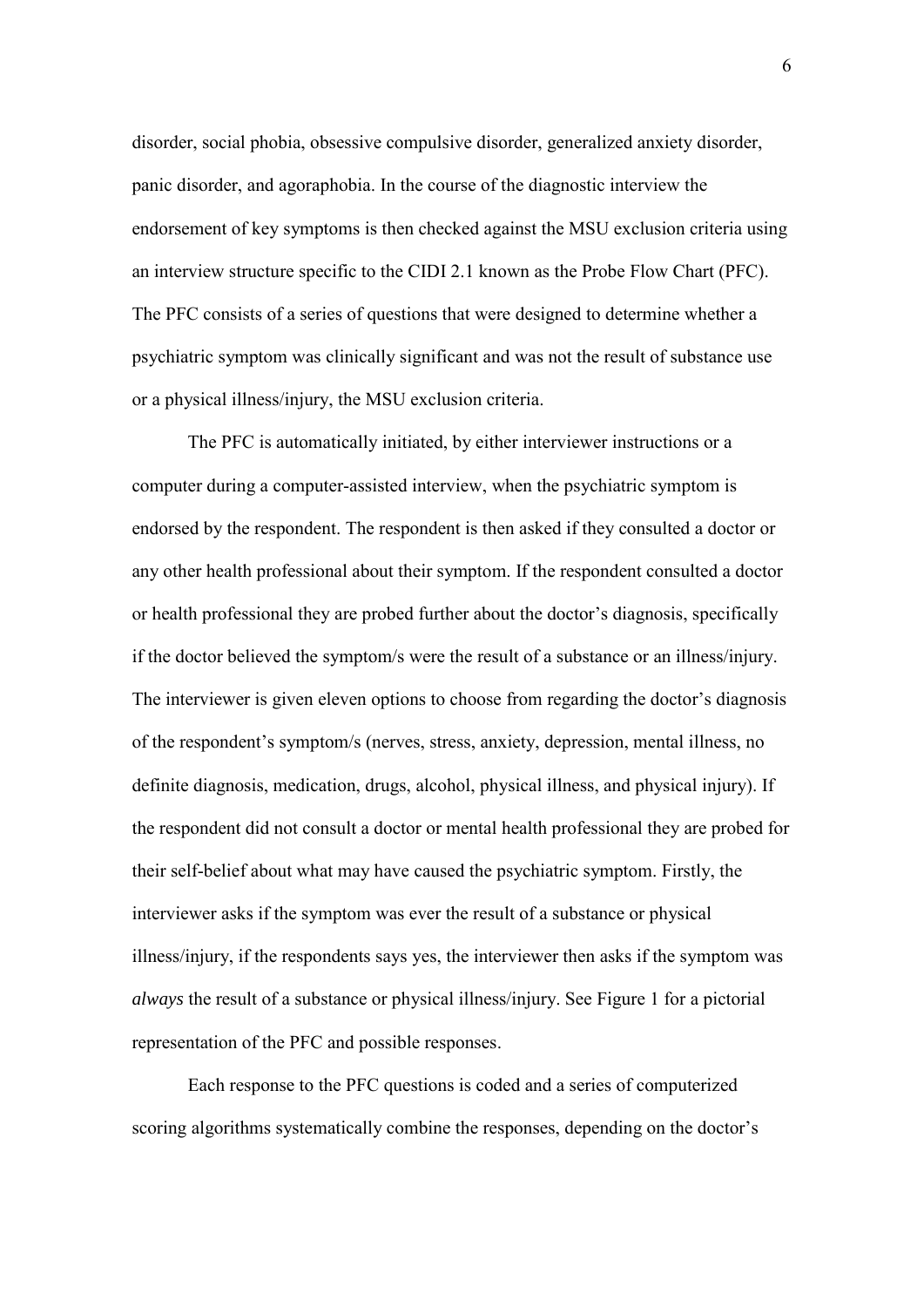disorder, social phobia, obsessive compulsive disorder, generalized anxiety disorder, panic disorder, and agoraphobia. In the course of the diagnostic interview the endorsement of key symptoms is then checked against the MSU exclusion criteria using an interview structure specific to the CIDI 2.1 known as the Probe Flow Chart (PFC). The PFC consists of a series of questions that were designed to determine whether a psychiatric symptom was clinically significant and was not the result of substance use or a physical illness/injury, the MSU exclusion criteria.

The PFC is automatically initiated, by either interviewer instructions or a computer during a computer-assisted interview, when the psychiatric symptom is endorsed by the respondent. The respondent is then asked if they consulted a doctor or any other health professional about their symptom. If the respondent consulted a doctor or health professional they are probed further about the doctor's diagnosis, specifically if the doctor believed the symptom/s were the result of a substance or an illness/injury. The interviewer is given eleven options to choose from regarding the doctor's diagnosis of the respondent's symptom/s (nerves, stress, anxiety, depression, mental illness, no definite diagnosis, medication, drugs, alcohol, physical illness, and physical injury). If the respondent did not consult a doctor or mental health professional they are probed for their self-belief about what may have caused the psychiatric symptom. Firstly, the interviewer asks if the symptom was ever the result of a substance or physical illness/injury, if the respondents says yes, the interviewer then asks if the symptom was *always* the result of a substance or physical illness/injury. See Figure 1 for a pictorial representation of the PFC and possible responses.

Each response to the PFC questions is coded and a series of computerized scoring algorithms systematically combine the responses, depending on the doctor's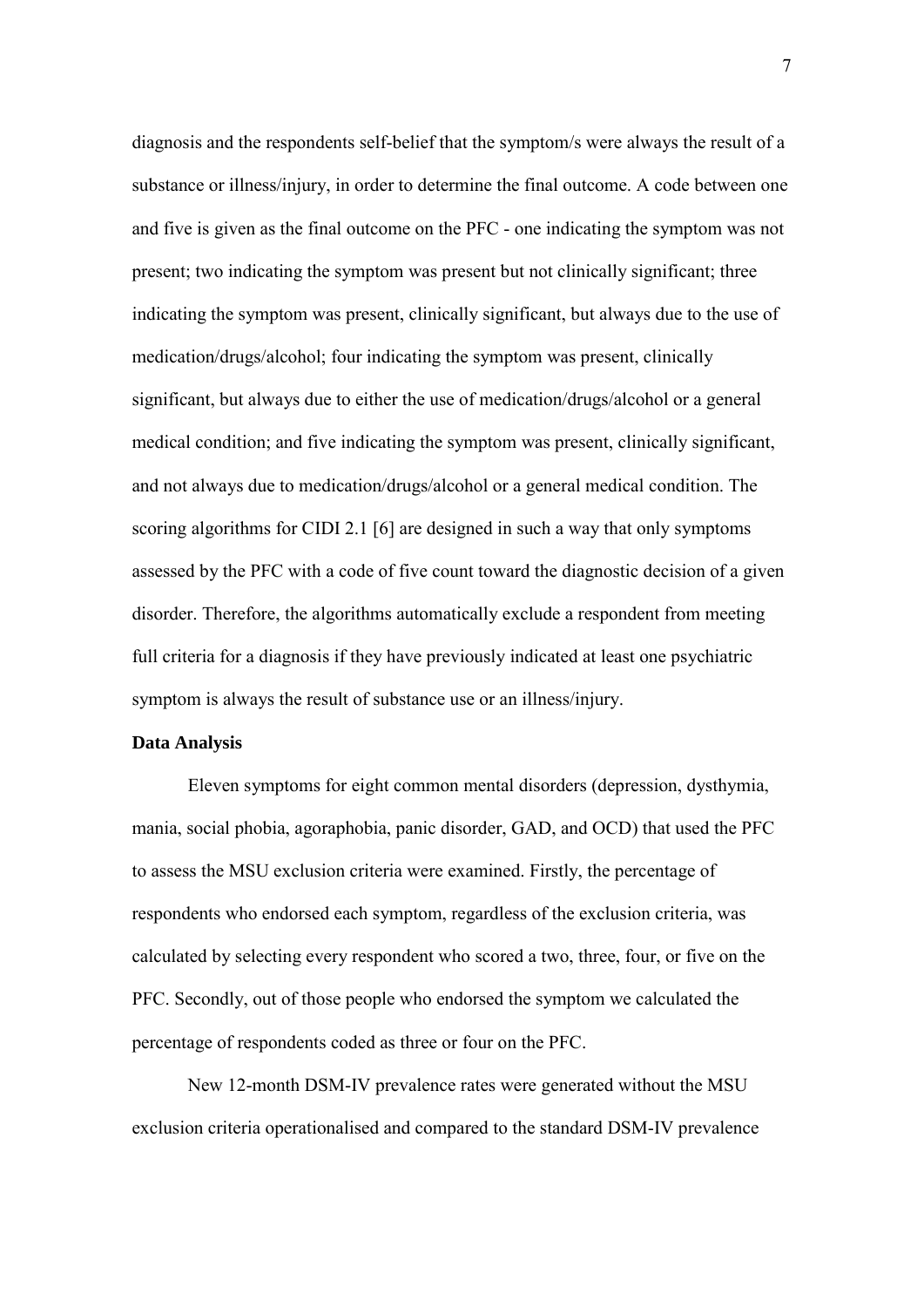diagnosis and the respondents self-belief that the symptom/s were always the result of a substance or illness/injury, in order to determine the final outcome. A code between one and five is given as the final outcome on the PFC - one indicating the symptom was not present; two indicating the symptom was present but not clinically significant; three indicating the symptom was present, clinically significant, but always due to the use of medication/drugs/alcohol; four indicating the symptom was present, clinically significant, but always due to either the use of medication/drugs/alcohol or a general medical condition; and five indicating the symptom was present, clinically significant, and not always due to medication/drugs/alcohol or a general medical condition. The scoring algorithms for CIDI 2.1 [6] are designed in such a way that only symptoms assessed by the PFC with a code of five count toward the diagnostic decision of a given disorder. Therefore, the algorithms automatically exclude a respondent from meeting full criteria for a diagnosis if they have previously indicated at least one psychiatric symptom is always the result of substance use or an illness/injury.

## **Data Analysis**

Eleven symptoms for eight common mental disorders (depression, dysthymia, mania, social phobia, agoraphobia, panic disorder, GAD, and OCD) that used the PFC to assess the MSU exclusion criteria were examined. Firstly, the percentage of respondents who endorsed each symptom, regardless of the exclusion criteria, was calculated by selecting every respondent who scored a two, three, four, or five on the PFC. Secondly, out of those people who endorsed the symptom we calculated the percentage of respondents coded as three or four on the PFC.

 New 12-month DSM-IV prevalence rates were generated without the MSU exclusion criteria operationalised and compared to the standard DSM-IV prevalence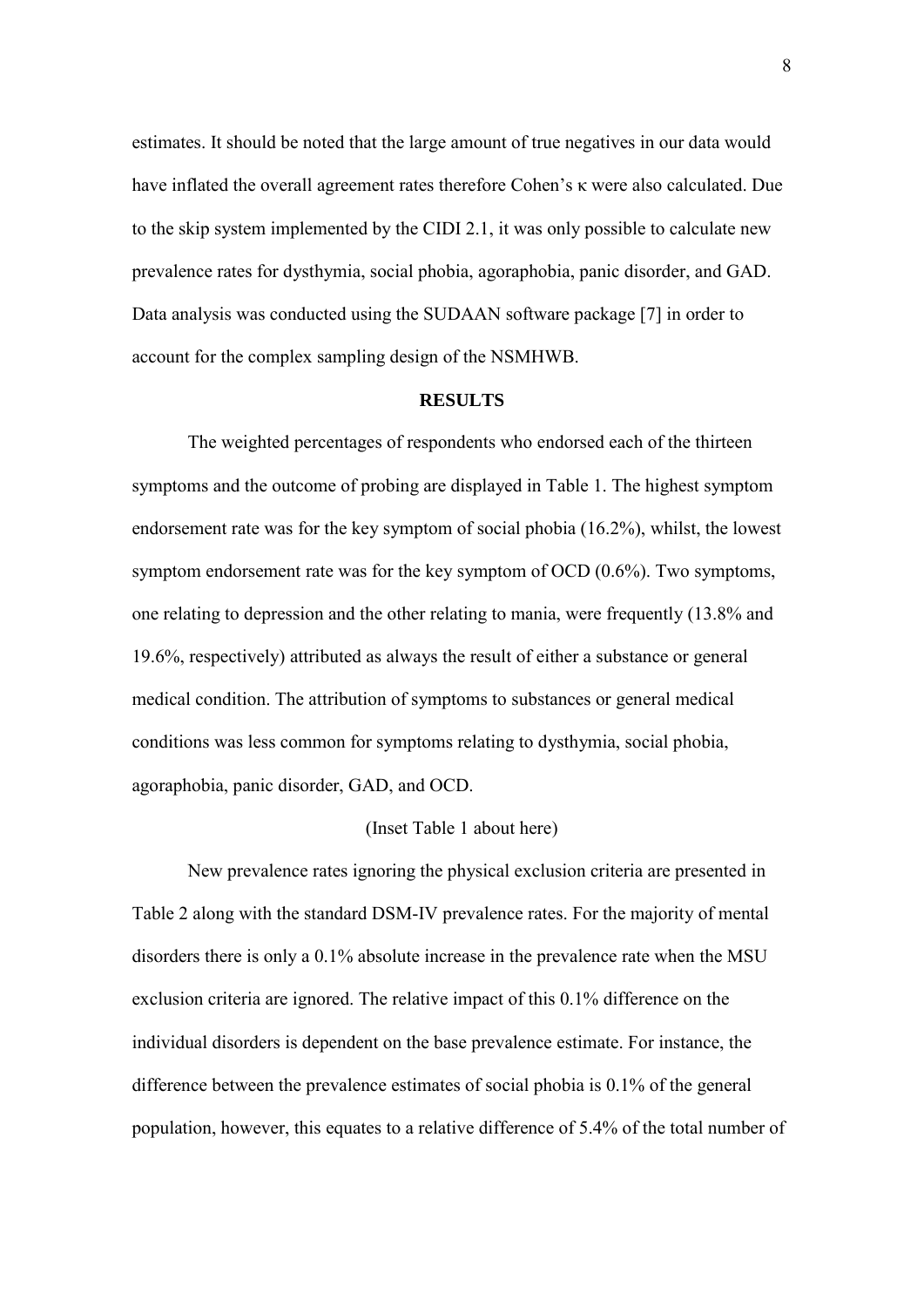estimates. It should be noted that the large amount of true negatives in our data would have inflated the overall agreement rates therefore Cohen's κ were also calculated. Due to the skip system implemented by the CIDI 2.1, it was only possible to calculate new prevalence rates for dysthymia, social phobia, agoraphobia, panic disorder, and GAD. Data analysis was conducted using the SUDAAN software package [7] in order to account for the complex sampling design of the NSMHWB.

### **RESULTS**

The weighted percentages of respondents who endorsed each of the thirteen symptoms and the outcome of probing are displayed in Table 1. The highest symptom endorsement rate was for the key symptom of social phobia (16.2%), whilst, the lowest symptom endorsement rate was for the key symptom of OCD (0.6%). Two symptoms, one relating to depression and the other relating to mania, were frequently (13.8% and 19.6%, respectively) attributed as always the result of either a substance or general medical condition. The attribution of symptoms to substances or general medical conditions was less common for symptoms relating to dysthymia, social phobia, agoraphobia, panic disorder, GAD, and OCD.

## (Inset Table 1 about here)

New prevalence rates ignoring the physical exclusion criteria are presented in Table 2 along with the standard DSM-IV prevalence rates. For the majority of mental disorders there is only a 0.1% absolute increase in the prevalence rate when the MSU exclusion criteria are ignored. The relative impact of this 0.1% difference on the individual disorders is dependent on the base prevalence estimate. For instance, the difference between the prevalence estimates of social phobia is 0.1% of the general population, however, this equates to a relative difference of 5.4% of the total number of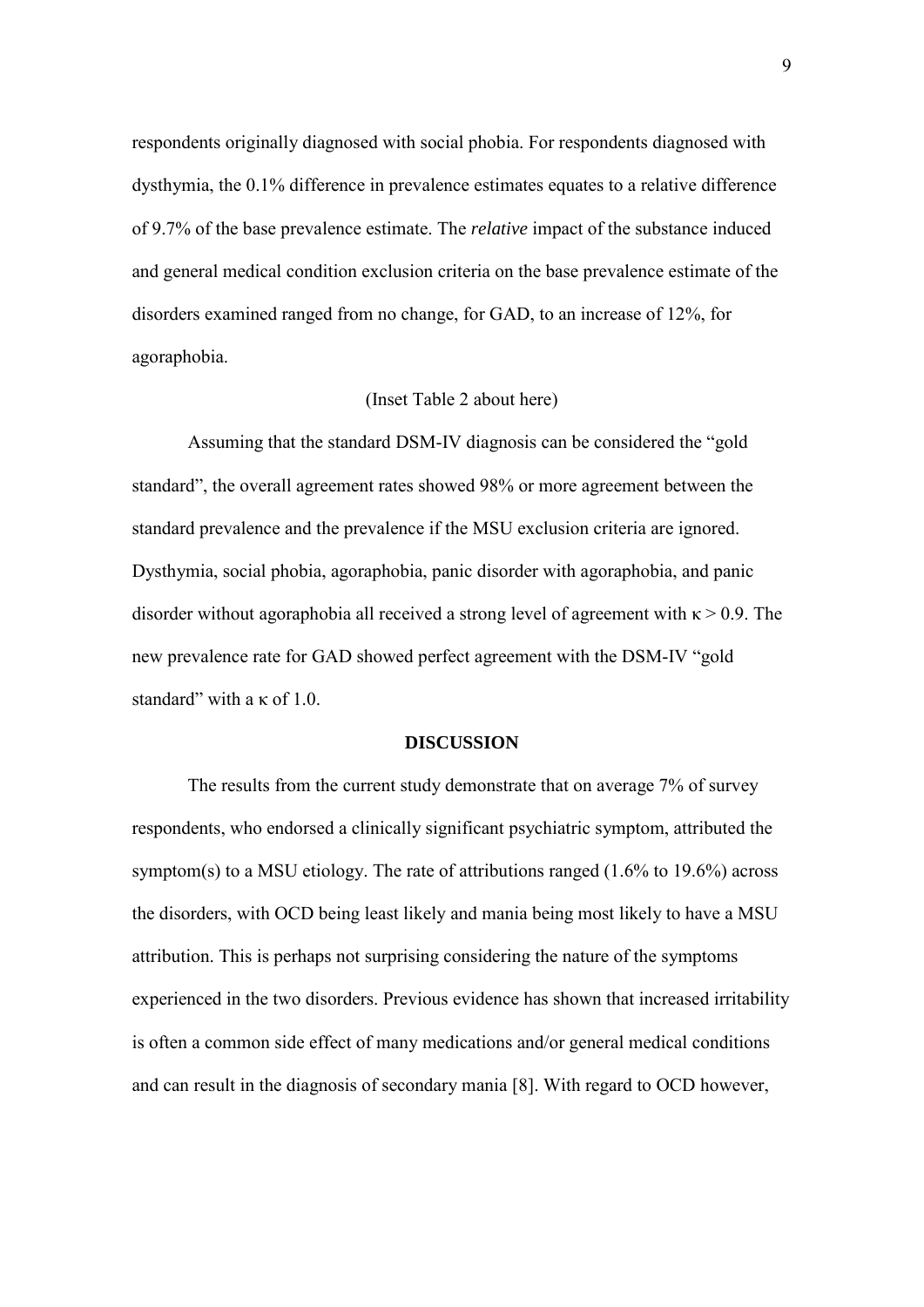respondents originally diagnosed with social phobia. For respondents diagnosed with dysthymia, the 0.1% difference in prevalence estimates equates to a relative difference of 9.7% of the base prevalence estimate. The *relative* impact of the substance induced and general medical condition exclusion criteria on the base prevalence estimate of the disorders examined ranged from no change, for GAD, to an increase of 12%, for agoraphobia.

### (Inset Table 2 about here)

Assuming that the standard DSM-IV diagnosis can be considered the "gold standard", the overall agreement rates showed 98% or more agreement between the standard prevalence and the prevalence if the MSU exclusion criteria are ignored. Dysthymia, social phobia, agoraphobia, panic disorder with agoraphobia, and panic disorder without agoraphobia all received a strong level of agreement with  $\kappa > 0.9$ . The new prevalence rate for GAD showed perfect agreement with the DSM-IV "gold standard" with a  $\kappa$  of 1.0.

## **DISCUSSION**

The results from the current study demonstrate that on average 7% of survey respondents, who endorsed a clinically significant psychiatric symptom, attributed the symptom(s) to a MSU etiology. The rate of attributions ranged (1.6% to 19.6%) across the disorders, with OCD being least likely and mania being most likely to have a MSU attribution. This is perhaps not surprising considering the nature of the symptoms experienced in the two disorders. Previous evidence has shown that increased irritability is often a common side effect of many medications and/or general medical conditions and can result in the diagnosis of secondary mania [8]. With regard to OCD however,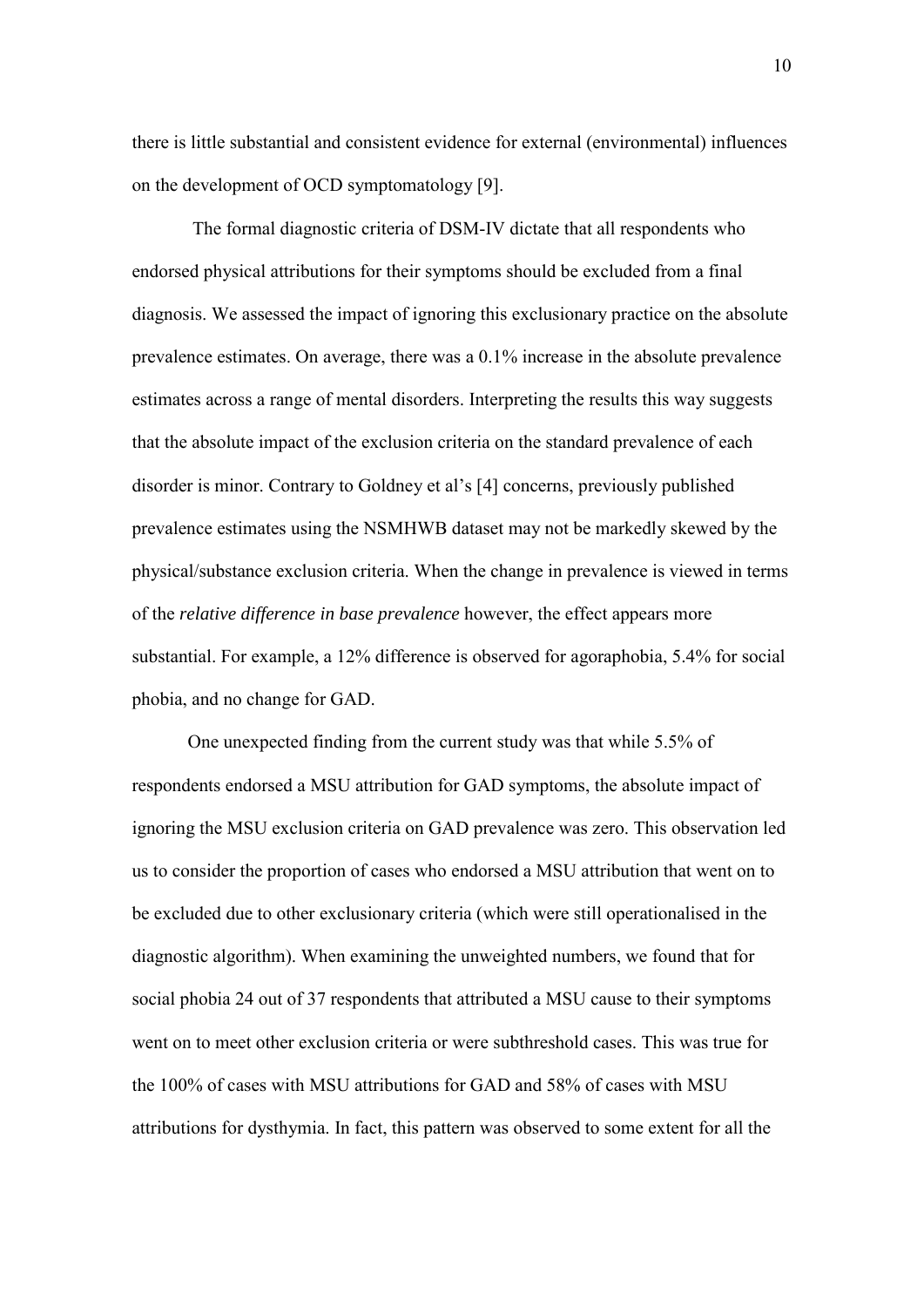there is little substantial and consistent evidence for external (environmental) influences on the development of OCD symptomatology [9].

The formal diagnostic criteria of DSM-IV dictate that all respondents who endorsed physical attributions for their symptoms should be excluded from a final diagnosis. We assessed the impact of ignoring this exclusionary practice on the absolute prevalence estimates. On average, there was a 0.1% increase in the absolute prevalence estimates across a range of mental disorders. Interpreting the results this way suggests that the absolute impact of the exclusion criteria on the standard prevalence of each disorder is minor. Contrary to Goldney et al's [4] concerns, previously published prevalence estimates using the NSMHWB dataset may not be markedly skewed by the physical/substance exclusion criteria. When the change in prevalence is viewed in terms of the *relative difference in base prevalence* however, the effect appears more substantial. For example, a 12% difference is observed for agoraphobia, 5.4% for social phobia, and no change for GAD.

One unexpected finding from the current study was that while 5.5% of respondents endorsed a MSU attribution for GAD symptoms, the absolute impact of ignoring the MSU exclusion criteria on GAD prevalence was zero. This observation led us to consider the proportion of cases who endorsed a MSU attribution that went on to be excluded due to other exclusionary criteria (which were still operationalised in the diagnostic algorithm). When examining the unweighted numbers, we found that for social phobia 24 out of 37 respondents that attributed a MSU cause to their symptoms went on to meet other exclusion criteria or were subthreshold cases. This was true for the 100% of cases with MSU attributions for GAD and 58% of cases with MSU attributions for dysthymia. In fact, this pattern was observed to some extent for all the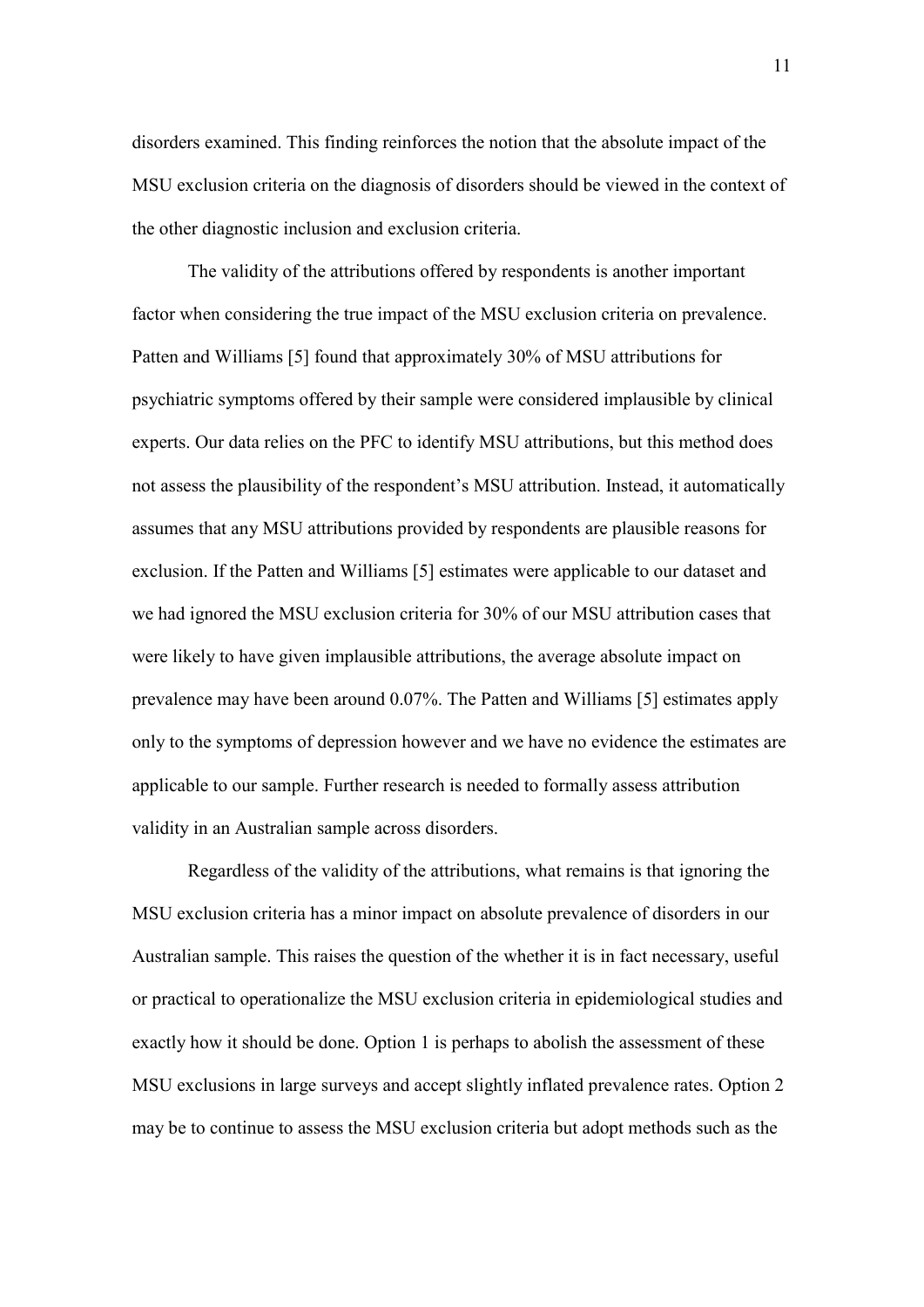disorders examined. This finding reinforces the notion that the absolute impact of the MSU exclusion criteria on the diagnosis of disorders should be viewed in the context of the other diagnostic inclusion and exclusion criteria.

The validity of the attributions offered by respondents is another important factor when considering the true impact of the MSU exclusion criteria on prevalence. Patten and Williams [5] found that approximately 30% of MSU attributions for psychiatric symptoms offered by their sample were considered implausible by clinical experts. Our data relies on the PFC to identify MSU attributions, but this method does not assess the plausibility of the respondent's MSU attribution. Instead, it automatically assumes that any MSU attributions provided by respondents are plausible reasons for exclusion. If the Patten and Williams [5] estimates were applicable to our dataset and we had ignored the MSU exclusion criteria for 30% of our MSU attribution cases that were likely to have given implausible attributions, the average absolute impact on prevalence may have been around 0.07%. The Patten and Williams [5] estimates apply only to the symptoms of depression however and we have no evidence the estimates are applicable to our sample. Further research is needed to formally assess attribution validity in an Australian sample across disorders.

Regardless of the validity of the attributions, what remains is that ignoring the MSU exclusion criteria has a minor impact on absolute prevalence of disorders in our Australian sample. This raises the question of the whether it is in fact necessary, useful or practical to operationalize the MSU exclusion criteria in epidemiological studies and exactly how it should be done. Option 1 is perhaps to abolish the assessment of these MSU exclusions in large surveys and accept slightly inflated prevalence rates. Option 2 may be to continue to assess the MSU exclusion criteria but adopt methods such as the

11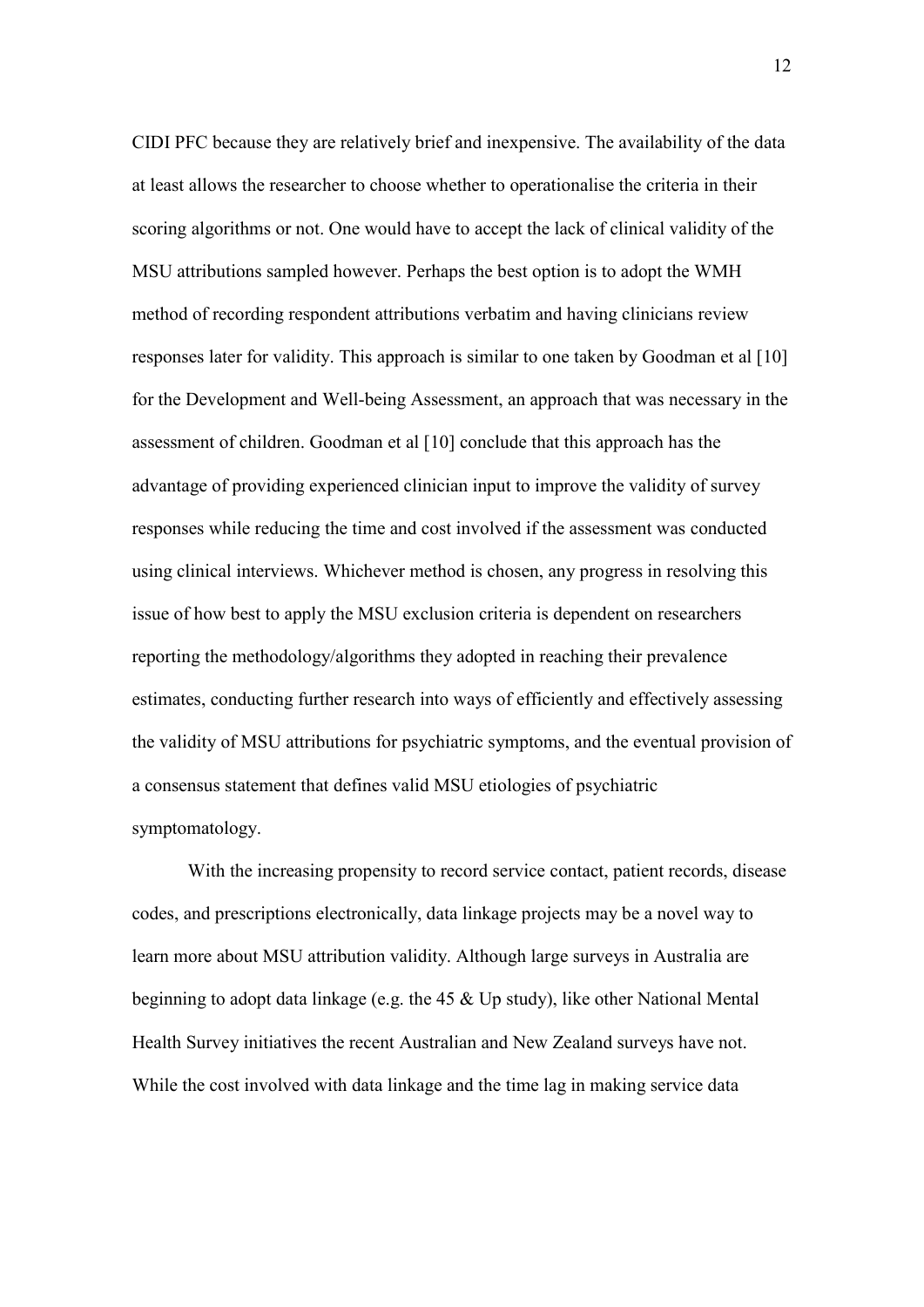CIDI PFC because they are relatively brief and inexpensive. The availability of the data at least allows the researcher to choose whether to operationalise the criteria in their scoring algorithms or not. One would have to accept the lack of clinical validity of the MSU attributions sampled however. Perhaps the best option is to adopt the WMH method of recording respondent attributions verbatim and having clinicians review responses later for validity. This approach is similar to one taken by Goodman et al [10] for the Development and Well-being Assessment, an approach that was necessary in the assessment of children. Goodman et al [10] conclude that this approach has the advantage of providing experienced clinician input to improve the validity of survey responses while reducing the time and cost involved if the assessment was conducted using clinical interviews. Whichever method is chosen, any progress in resolving this issue of how best to apply the MSU exclusion criteria is dependent on researchers reporting the methodology/algorithms they adopted in reaching their prevalence estimates, conducting further research into ways of efficiently and effectively assessing the validity of MSU attributions for psychiatric symptoms, and the eventual provision of a consensus statement that defines valid MSU etiologies of psychiatric symptomatology.

With the increasing propensity to record service contact, patient records, disease codes, and prescriptions electronically, data linkage projects may be a novel way to learn more about MSU attribution validity. Although large surveys in Australia are beginning to adopt data linkage (e.g. the 45 & Up study), like other National Mental Health Survey initiatives the recent Australian and New Zealand surveys have not. While the cost involved with data linkage and the time lag in making service data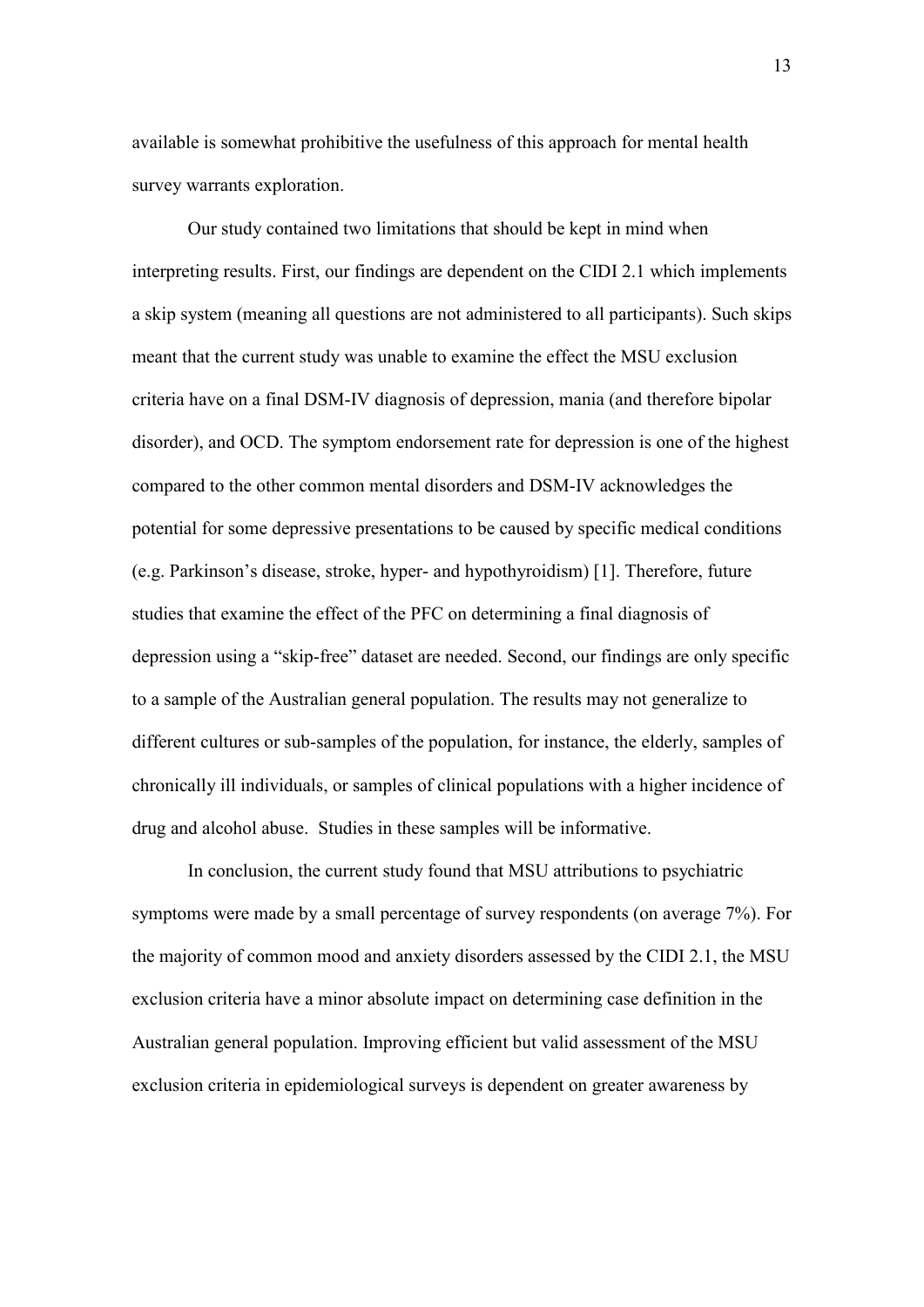available is somewhat prohibitive the usefulness of this approach for mental health survey warrants exploration.

Our study contained two limitations that should be kept in mind when interpreting results. First, our findings are dependent on the CIDI 2.1 which implements a skip system (meaning all questions are not administered to all participants). Such skips meant that the current study was unable to examine the effect the MSU exclusion criteria have on a final DSM-IV diagnosis of depression, mania (and therefore bipolar disorder), and OCD. The symptom endorsement rate for depression is one of the highest compared to the other common mental disorders and DSM-IV acknowledges the potential for some depressive presentations to be caused by specific medical conditions (e.g. Parkinson's disease, stroke, hyper- and hypothyroidism) [1]. Therefore, future studies that examine the effect of the PFC on determining a final diagnosis of depression using a "skip-free" dataset are needed. Second, our findings are only specific to a sample of the Australian general population. The results may not generalize to different cultures or sub-samples of the population, for instance, the elderly, samples of chronically ill individuals, or samples of clinical populations with a higher incidence of drug and alcohol abuse. Studies in these samples will be informative.

In conclusion, the current study found that MSU attributions to psychiatric symptoms were made by a small percentage of survey respondents (on average 7%). For the majority of common mood and anxiety disorders assessed by the CIDI 2.1, the MSU exclusion criteria have a minor absolute impact on determining case definition in the Australian general population. Improving efficient but valid assessment of the MSU exclusion criteria in epidemiological surveys is dependent on greater awareness by

13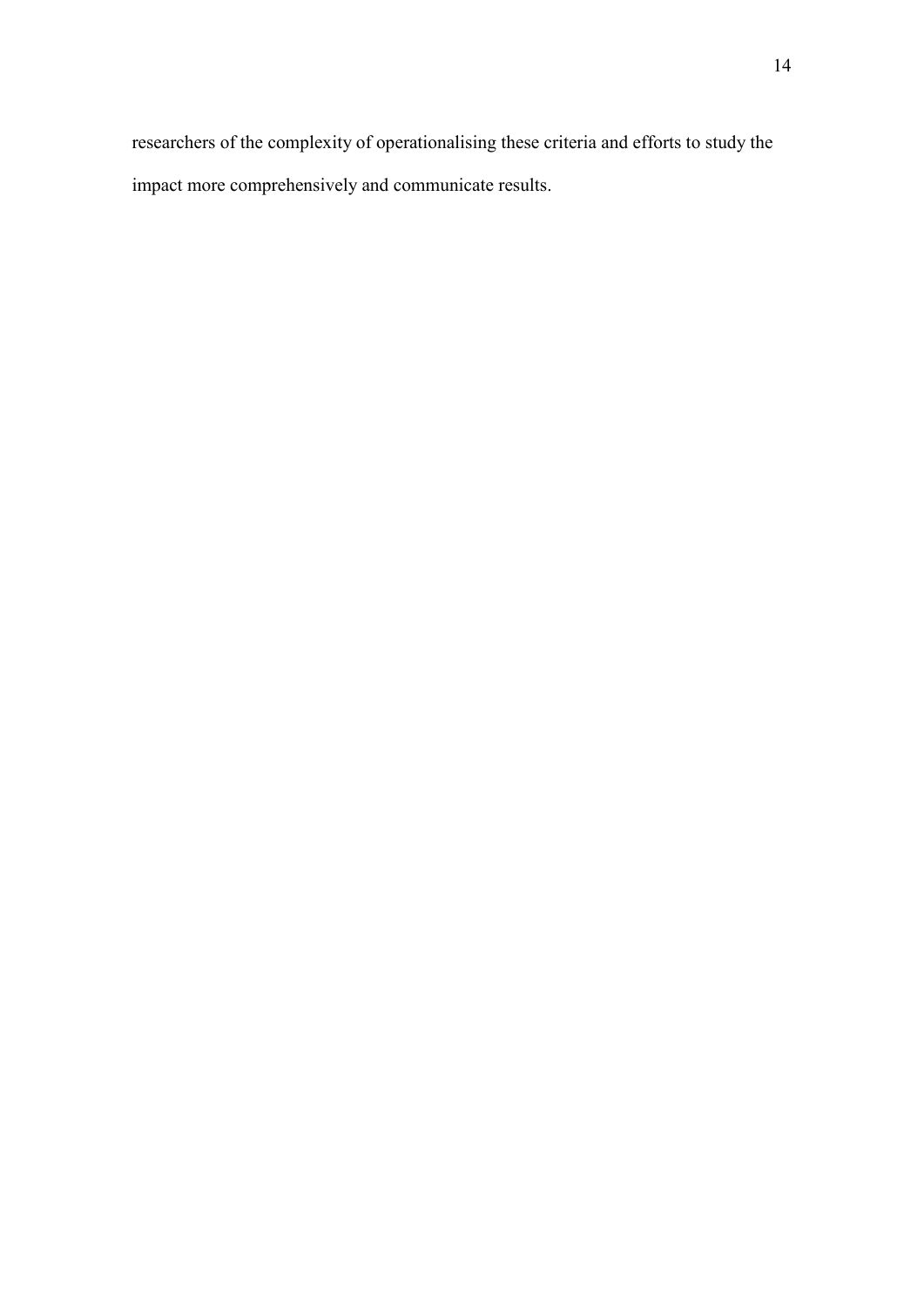researchers of the complexity of operationalising these criteria and efforts to study the impact more comprehensively and communicate results.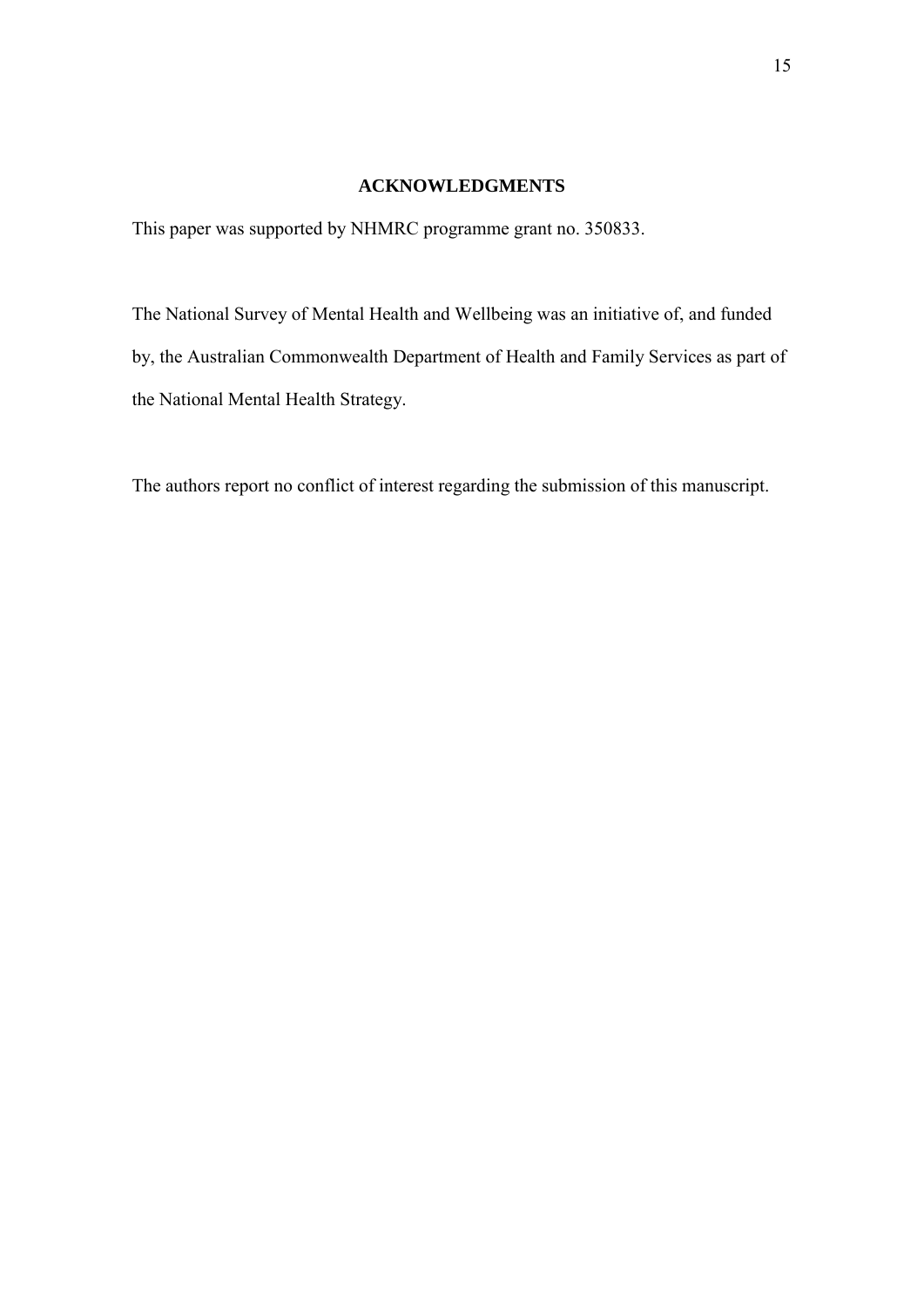# **ACKNOWLEDGMENTS**

This paper was supported by NHMRC programme grant no. 350833.

The National Survey of Mental Health and Wellbeing was an initiative of, and funded by, the Australian Commonwealth Department of Health and Family Services as part of the National Mental Health Strategy.

The authors report no conflict of interest regarding the submission of this manuscript.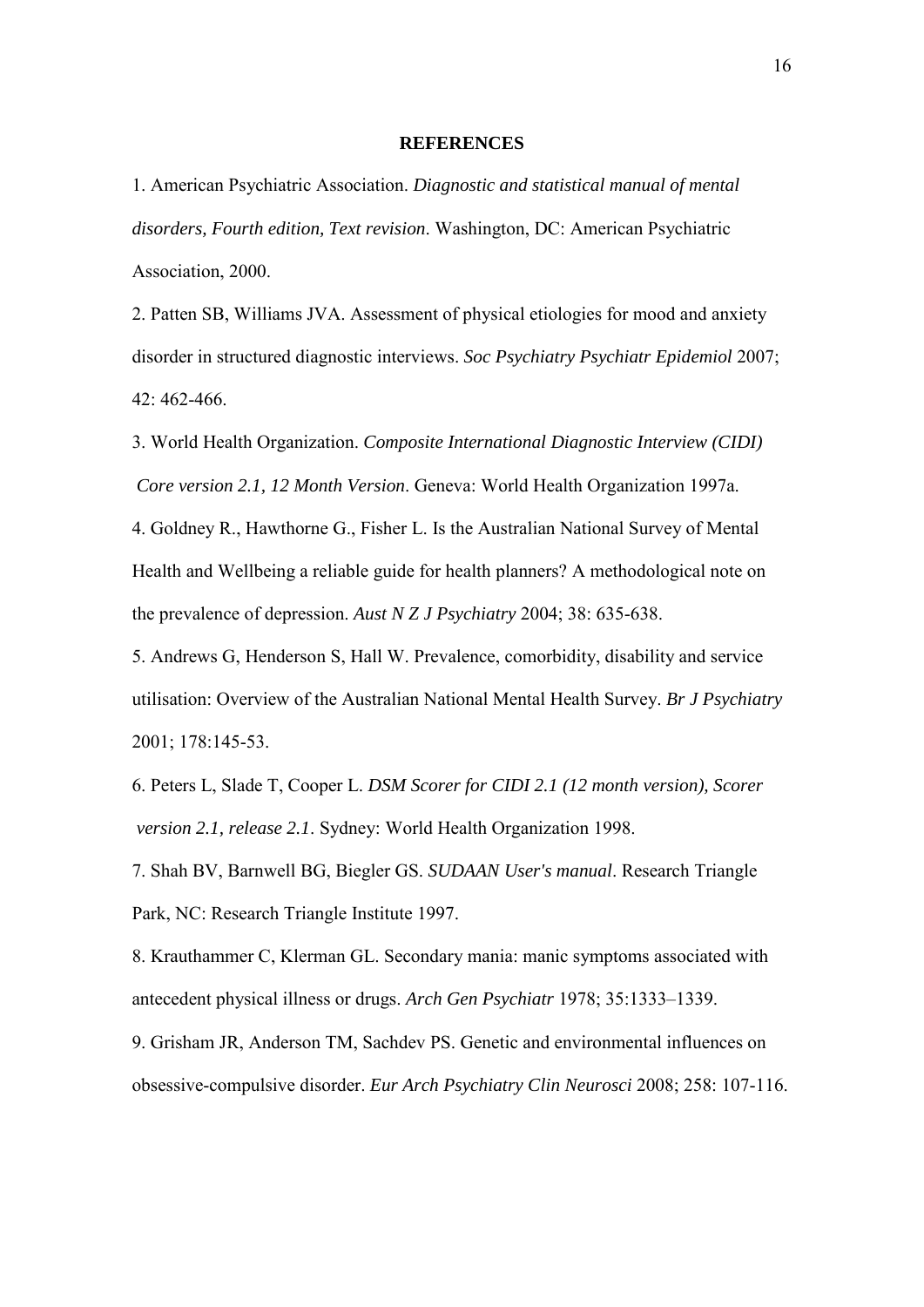### **REFERENCES**

1. American Psychiatric Association. *Diagnostic and statistical manual of mental disorders, Fourth edition, Text revision*. Washington, DC: American Psychiatric Association, 2000.

2. Patten SB, Williams JVA. Assessment of physical etiologies for mood and anxiety disorder in structured diagnostic interviews. *Soc Psychiatry Psychiatr Epidemiol* 2007; 42: 462-466.

3. World Health Organization. *Composite International Diagnostic Interview (CIDI) Core version 2.1, 12 Month Version*. Geneva: World Health Organization 1997a.

4. Goldney R., Hawthorne G., Fisher L. Is the Australian National Survey of Mental Health and Wellbeing a reliable guide for health planners? A methodological note on the prevalence of depression. *Aust N Z J Psychiatry* 2004; 38: 635-638.

5. Andrews G, Henderson S, Hall W. Prevalence, comorbidity, disability and service utilisation: Overview of the Australian National Mental Health Survey. *Br J Psychiatry* 2001; 178:145-53.

6. Peters L, Slade T, Cooper L. *DSM Scorer for CIDI 2.1 (12 month version), Scorer version 2.1, release 2.1*. Sydney: World Health Organization 1998.

7. Shah BV, Barnwell BG, Biegler GS. *SUDAAN User's manual*. Research Triangle Park, NC: Research Triangle Institute 1997.

8. Krauthammer C, Klerman GL. Secondary mania: manic symptoms associated with antecedent physical illness or drugs. *Arch Gen Psychiatr* 1978; 35:1333–1339.

9. Grisham JR, Anderson TM, Sachdev PS. Genetic and environmental influences on obsessive-compulsive disorder. *Eur Arch Psychiatry Clin Neurosci* 2008; 258: 107-116.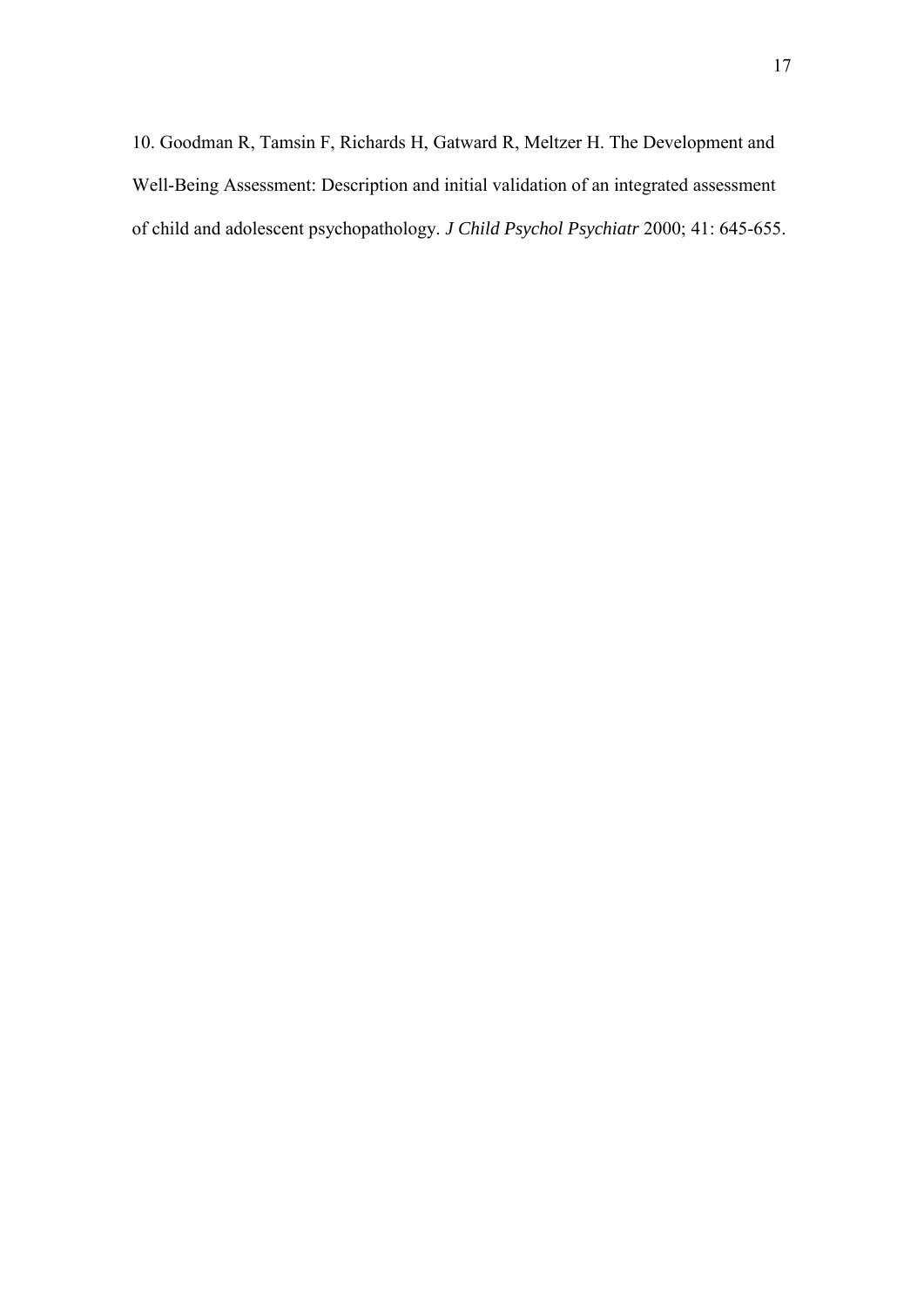10. Goodman R, Tamsin F, Richards H, Gatward R, Meltzer H. The Development and Well-Being Assessment: Description and initial validation of an integrated assessment of child and adolescent psychopathology. *J Child Psychol Psychiatr* 2000; 41: 645-655.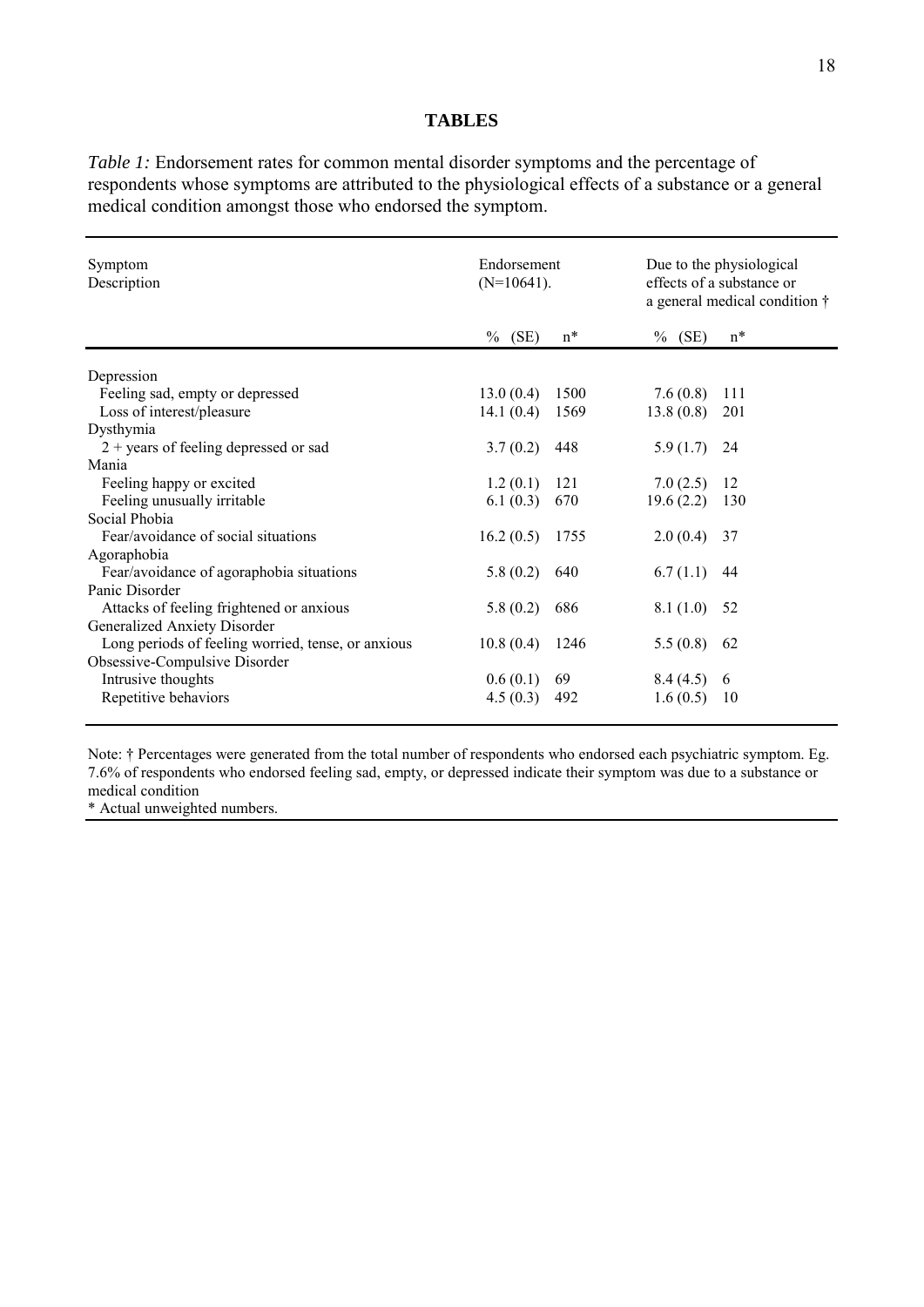## **TABLES**

*Table 1:* Endorsement rates for common mental disorder symptoms and the percentage of respondents whose symptoms are attributed to the physiological effects of a substance or a general medical condition amongst those who endorsed the symptom.

| Symptom<br>Description                             | Endorsement<br>$(N=10641)$ .<br>(SE)<br>$\%$ | $n^*$ | (SE)<br>$\%$ | Due to the physiological<br>effects of a substance or<br>a general medical condition $\dagger$<br>$n^*$ |  |
|----------------------------------------------------|----------------------------------------------|-------|--------------|---------------------------------------------------------------------------------------------------------|--|
|                                                    |                                              |       |              |                                                                                                         |  |
| Depression                                         |                                              |       |              |                                                                                                         |  |
| Feeling sad, empty or depressed                    | 13.0(0.4)                                    | 1500  | 7.6(0.8)     | 111                                                                                                     |  |
| Loss of interest/pleasure                          | 14.1(0.4)                                    | 1569  | 13.8(0.8)    | 201                                                                                                     |  |
| Dysthymia                                          |                                              |       |              |                                                                                                         |  |
| $2 + \text{years}$ of feeling depressed or sad     | 3.7(0.2)                                     | 448   | 5.9(1.7)     | 24                                                                                                      |  |
| Mania                                              |                                              |       |              |                                                                                                         |  |
| Feeling happy or excited                           | 1.2(0.1)                                     | 121   | 7.0(2.5)     | 12                                                                                                      |  |
| Feeling unusually irritable                        | 6.1(0.3)                                     | 670   | 19.6(2.2)    | 130                                                                                                     |  |
| Social Phobia                                      |                                              |       |              |                                                                                                         |  |
| Fear/avoidance of social situations                | 16.2(0.5)                                    | 1755  | 2.0(0.4)     | 37                                                                                                      |  |
| Agoraphobia                                        |                                              |       |              |                                                                                                         |  |
| Fear/avoidance of agoraphobia situations           | 5.8(0.2)                                     | 640   | 6.7(1.1)     | 44                                                                                                      |  |
| Panic Disorder                                     |                                              |       |              |                                                                                                         |  |
| Attacks of feeling frightened or anxious           | 5.8(0.2)                                     | 686   | 8.1(1.0)     | 52                                                                                                      |  |
| Generalized Anxiety Disorder                       |                                              |       |              |                                                                                                         |  |
| Long periods of feeling worried, tense, or anxious | 10.8(0.4)                                    | 1246  | 5.5(0.8)     | 62                                                                                                      |  |
| Obsessive-Compulsive Disorder                      |                                              |       |              |                                                                                                         |  |
| Intrusive thoughts                                 | 0.6(0.1)                                     | 69    | 8.4(4.5)     | -6                                                                                                      |  |
| Repetitive behaviors                               | 4.5(0.3)                                     | 492   | 1.6(0.5)     | 10                                                                                                      |  |
|                                                    |                                              |       |              |                                                                                                         |  |

Note: † Percentages were generated from the total number of respondents who endorsed each psychiatric symptom. Eg. 7.6% of respondents who endorsed feeling sad, empty, or depressed indicate their symptom was due to a substance or medical condition

\* Actual unweighted numbers.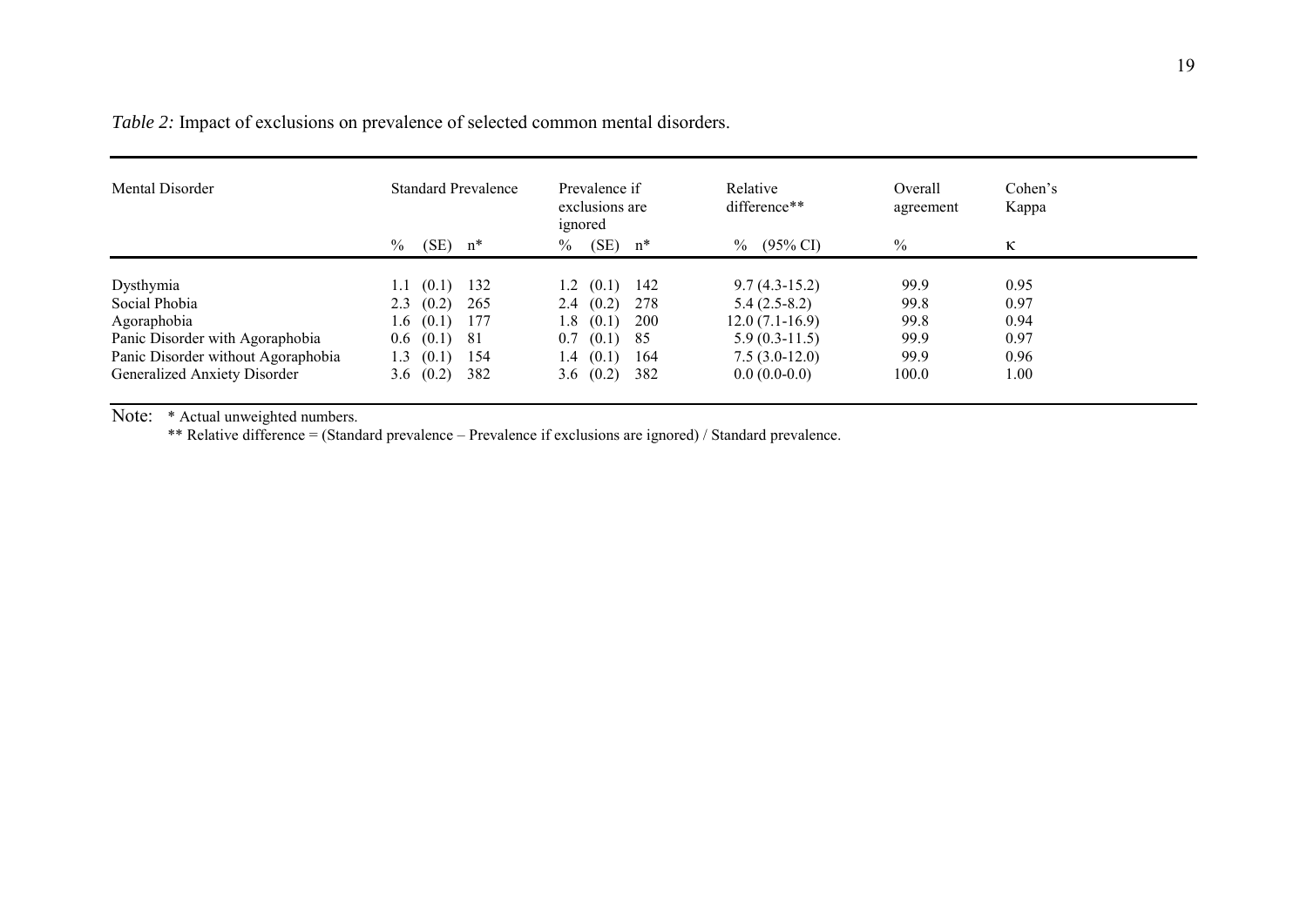*Table 2:* Impact of exclusions on prevalence of selected common mental disorders.

| Mental Disorder                    | <b>Standard Prevalence</b>    | Prevalence if<br>exclusions are<br>ignored | Relative<br>difference**    | Overall<br>agreement | Cohen's<br>Kappa |  |
|------------------------------------|-------------------------------|--------------------------------------------|-----------------------------|----------------------|------------------|--|
|                                    | $\%$<br>$(SE)$ n <sup>*</sup> | (SE)<br>$\%$<br>$n^*$                      | $(95\% \text{ CI})$<br>$\%$ | $\frac{0}{0}$        | $\kappa$         |  |
| Dysthymia                          | (0.1)<br>132<br>1.1           | $1.2 \quad (0.1)$<br>142                   | $9.7(4.3-15.2)$             | 99.9                 | 0.95             |  |
| Social Phobia                      | 2.3(0.2)<br>265               | (0.2)<br>278<br>2.4                        | $5.4(2.5-8.2)$              | 99.8                 | 0.97             |  |
| Agoraphobia                        | 1.6 $(0.1)$<br>177            | (0.1)<br>200<br>1.8                        | $12.0(7.1-16.9)$            | 99.8                 | 0.94             |  |
| Panic Disorder with Agoraphobia    | $0.6$ $(0.1)$ 81              | 85<br>0.7<br>(0.1)                         | $5.9(0.3-11.5)$             | 99.9                 | 0.97             |  |
| Panic Disorder without Agoraphobia | (0.1)<br>154<br>1.3           | (0.1)<br>164<br>1.4                        | $7.5(3.0-12.0)$             | 99.9                 | 0.96             |  |
| Generalized Anxiety Disorder       | 3.6 $(0.2)$<br>382            | 382<br>3.6 $(0.2)$                         | $0.0(0.0-0.0)$              | 100.0                | 1.00             |  |

Note: \* Actual unweighted numbers.

\*\* Relative difference = (Standard prevalence – Prevalence if exclusions are ignored) / Standard prevalence.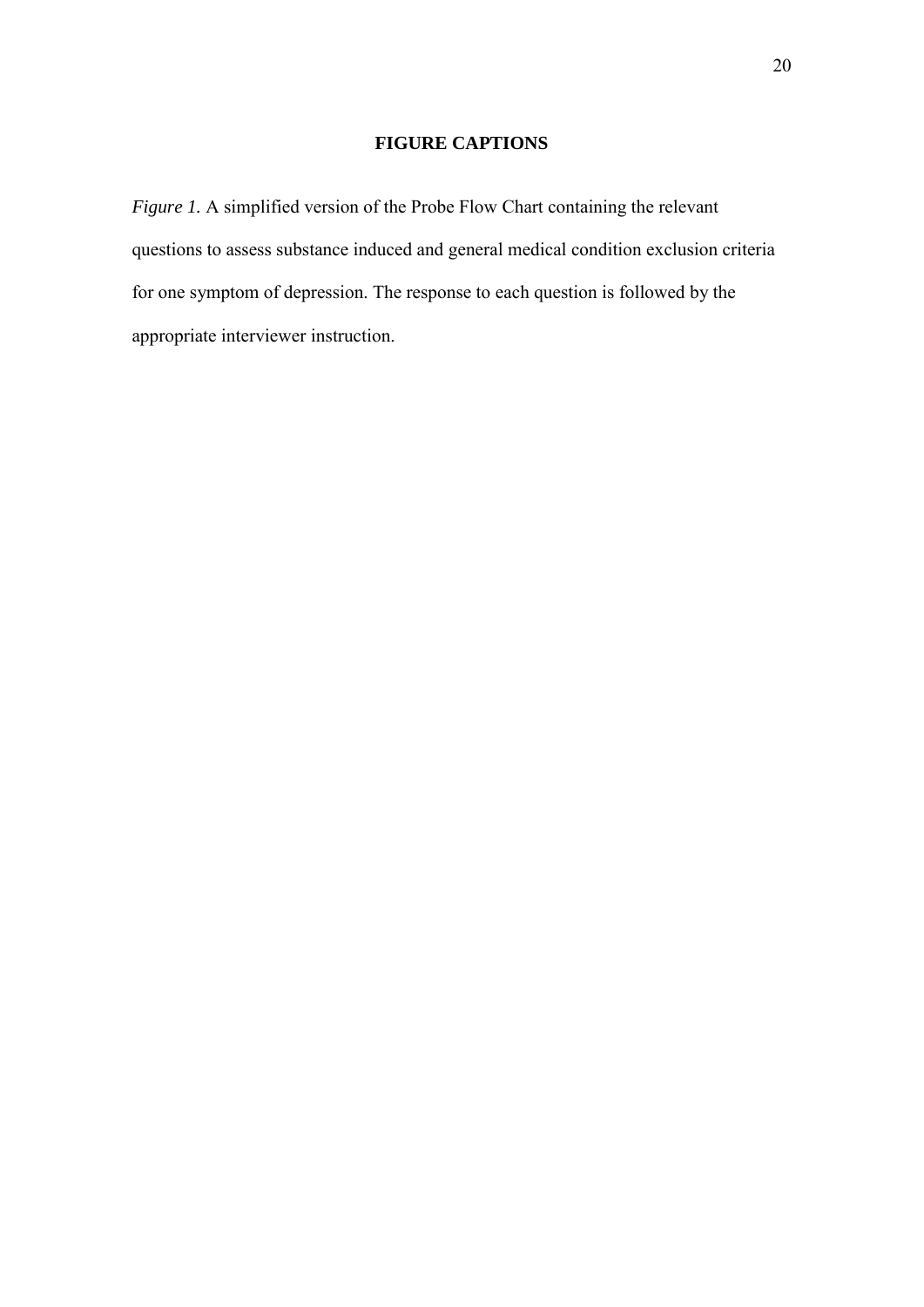# **FIGURE CAPTIONS**

*Figure 1.* A simplified version of the Probe Flow Chart containing the relevant questions to assess substance induced and general medical condition exclusion criteria for one symptom of depression. The response to each question is followed by the appropriate interviewer instruction.